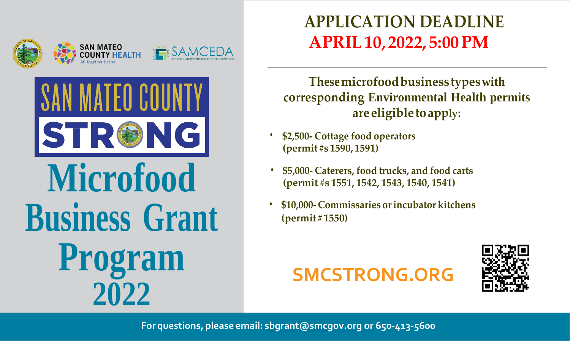



# **Microfood Business Grant** Program 2022

## **APPLICATION DEADLINE APRIL 10, 2022, 5:00 PM**

These microfood business types with corresponding Environmental Health permits are eligible to apply:

- \$2,500- Cottage food operators (permit#s 1590, 1591)
- \$5,000- Caterers, food trucks, and food carts (permit #s 1551, 1542, 1543, 1540, 1541)
- \$10,000-Commissaries or incubator kitchens  $(permit # 1550)$

# **SMCSTRONG.ORG**



For questions, please email: sbgrant@smcgov.org or 650-413-5600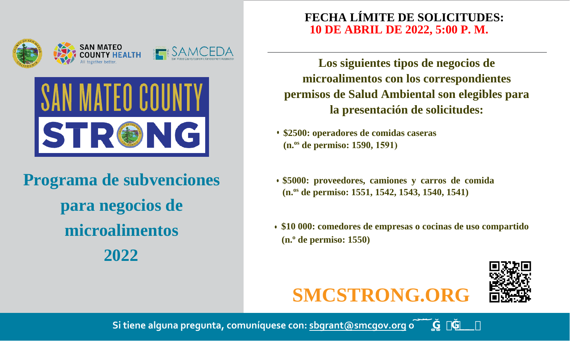



**Programa de subvenciones para negocios de microalimentos 2022**

#### **FECHA LÍMITE DE SOLICITUDES: 10 DE ABRIL DE 2022, 5:00 P. M.**

**Los siguientes tipos de negocios de microalimentos con los correspondientes permisos de Salud Ambiental son elegibles para la presentación de solicitudes:**

- **• \$2500: operadores de comidas caseras (n.os de permiso: 1590, 1591)**
- **• \$5000: proveedores, camiones y carros de comida (n.os de permiso: 1551, 1542, 1543, 1540, 1541)**
- **• \$10 000: comedores de empresas o cocinas de uso compartido (n.o de permiso: 1550)**





**Si tiene alguna pregunta, comuníquese con: sbgrant@smcgov.org o**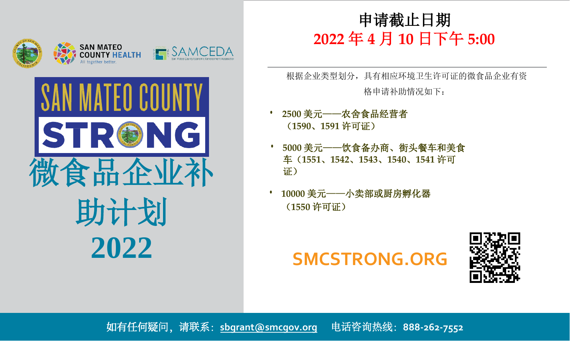



#### 申请截止日期 **2022** 年 **4** 月 **10** 日下午 **5:00**

根据企业类型划分,具有相应环境卫生许可证的微食品企业有资 格申请补助情况如下:

- **• 2500** 美元——农舍食品经营者 (**1590**、**1591** 许可证)
- **• 5000** 美元——饮食备办商、街头餐车和美食 车(**1551**、**1542**、**1543**、**1540**、**1541** 许可 证)
- **• 10000** 美元——小卖部或厨房孵化器 (**1550** 许可证)

## **SMCSTRONG.ORG**



如有任何疑问,请联系:**sbgrant@smcgov.org** 电话咨询热线:**888-262-7552**